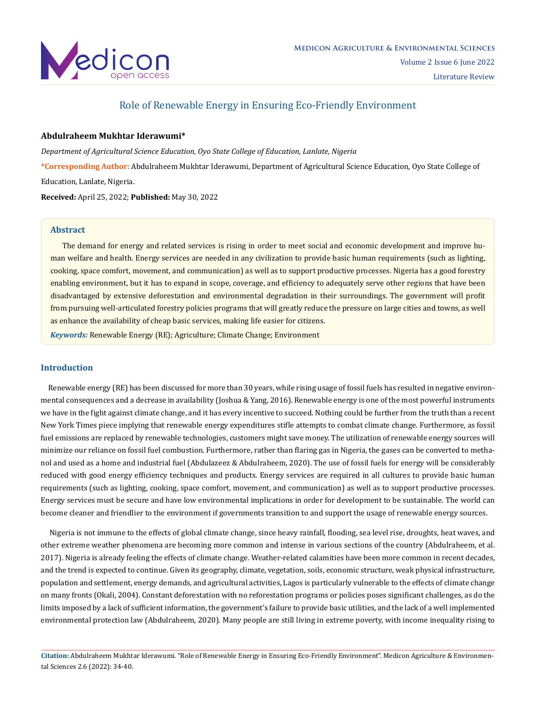

# Role of Renewable Energy in Ensuring Eco-Friendly Environment

## **Abdulraheem Mukhtar Iderawumi\***

*Department of Agricultural Science Education, Oyo State College of Education, Lanlate, Nigeria*

**\*Corresponding Author:** Abdulraheem Mukhtar Iderawumi, Department of Agricultural Science Education, Oyo State College of Education, Lanlate, Nigeria.

**Received:** April 25, 2022; **Published:** May 30, 2022

## **Abstract**

The demand for energy and related services is rising in order to meet social and economic development and improve human welfare and health. Energy services are needed in any civilization to provide basic human requirements (such as lighting, cooking, space comfort, movement, and communication) as well as to support productive processes. Nigeria has a good forestry enabling environment, but it has to expand in scope, coverage, and efficiency to adequately serve other regions that have been disadvantaged by extensive deforestation and environmental degradation in their surroundings. The government will profit from pursuing well-articulated forestry policies programs that will greatly reduce the pressure on large cities and towns, as well as enhance the availability of cheap basic services, making life easier for citizens.

*Keywords:* Renewable Energy (RE); Agriculture; Climate Change; Environment

## **Introduction**

 Renewable energy (RE) has been discussed for more than 30 years, while rising usage of fossil fuels has resulted in negative environmental consequences and a decrease in availability (Joshua & Yang, 2016). Renewable energy is one of the most powerful instruments we have in the fight against climate change, and it has every incentive to succeed. Nothing could be further from the truth than a recent New York Times piece implying that renewable energy expenditures stifle attempts to combat climate change. Furthermore, as fossil fuel emissions are replaced by renewable technologies, customers might save money. The utilization of renewable energy sources will minimize our reliance on fossil fuel combustion. Furthermore, rather than flaring gas in Nigeria, the gases can be converted to methanol and used as a home and industrial fuel (Abdulazeez & Abdulraheem, 2020). The use of fossil fuels for energy will be considerably reduced with good energy efficiency techniques and products. Energy services are required in all cultures to provide basic human requirements (such as lighting, cooking, space comfort, movement, and communication) as well as to support productive processes. Energy services must be secure and have low environmental implications in order for development to be sustainable. The world can become cleaner and friendlier to the environment if governments transition to and support the usage of renewable energy sources.

 Nigeria is not immune to the effects of global climate change, since heavy rainfall, flooding, sea level rise, droughts, heat waves, and other extreme weather phenomena are becoming more common and intense in various sections of the country (Abdulraheem, et al. 2017). Nigeria is already feeling the effects of climate change. Weather-related calamities have been more common in recent decades, and the trend is expected to continue. Given its geography, climate, vegetation, soils, economic structure, weak physical infrastructure, population and settlement, energy demands, and agricultural activities, Lagos is particularly vulnerable to the effects of climate change on many fronts (Okali, 2004). Constant deforestation with no reforestation programs or policies poses significant challenges, as do the limits imposed by a lack of sufficient information, the government's failure to provide basic utilities, and the lack of a well implemented environmental protection law (Abdulraheem, 2020). Many people are still living in extreme poverty, with income inequality rising to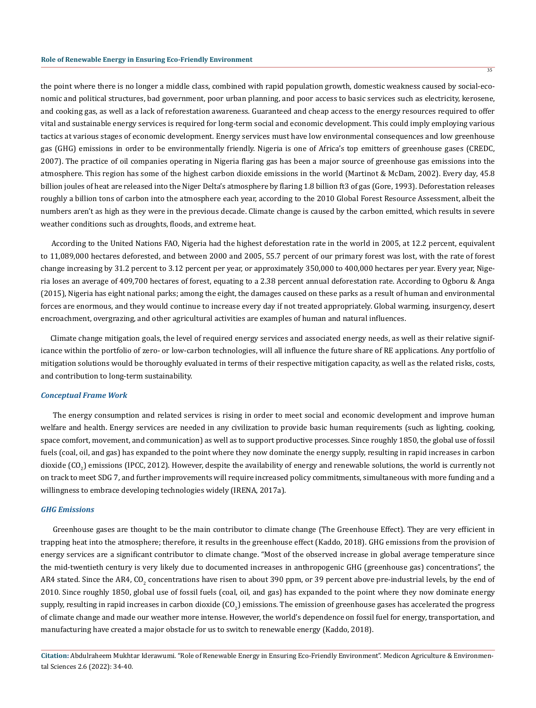the point where there is no longer a middle class, combined with rapid population growth, domestic weakness caused by social-economic and political structures, bad government, poor urban planning, and poor access to basic services such as electricity, kerosene, and cooking gas, as well as a lack of reforestation awareness. Guaranteed and cheap access to the energy resources required to offer vital and sustainable energy services is required for long-term social and economic development. This could imply employing various tactics at various stages of economic development. Energy services must have low environmental consequences and low greenhouse gas (GHG) emissions in order to be environmentally friendly. Nigeria is one of Africa's top emitters of greenhouse gases (CREDC, 2007). The practice of oil companies operating in Nigeria flaring gas has been a major source of greenhouse gas emissions into the atmosphere. This region has some of the highest carbon dioxide emissions in the world (Martinot & McDam, 2002). Every day, 45.8 billion joules of heat are released into the Niger Delta's atmosphere by flaring 1.8 billion ft3 of gas (Gore, 1993). Deforestation releases roughly a billion tons of carbon into the atmosphere each year, according to the 2010 Global Forest Resource Assessment, albeit the numbers aren't as high as they were in the previous decade. Climate change is caused by the carbon emitted, which results in severe weather conditions such as droughts, floods, and extreme heat.

 According to the United Nations FAO, Nigeria had the highest deforestation rate in the world in 2005, at 12.2 percent, equivalent to 11,089,000 hectares deforested, and between 2000 and 2005, 55.7 percent of our primary forest was lost, with the rate of forest change increasing by 31.2 percent to 3.12 percent per year, or approximately 350,000 to 400,000 hectares per year. Every year, Nigeria loses an average of 409,700 hectares of forest, equating to a 2.38 percent annual deforestation rate. According to Ogboru & Anga (2015), Nigeria has eight national parks; among the eight, the damages caused on these parks as a result of human and environmental forces are enormous, and they would continue to increase every day if not treated appropriately. Global warming, insurgency, desert encroachment, overgrazing, and other agricultural activities are examples of human and natural influences.

 Climate change mitigation goals, the level of required energy services and associated energy needs, as well as their relative significance within the portfolio of zero- or low-carbon technologies, will all influence the future share of RE applications. Any portfolio of mitigation solutions would be thoroughly evaluated in terms of their respective mitigation capacity, as well as the related risks, costs, and contribution to long-term sustainability.

#### *Conceptual Frame Work*

 The energy consumption and related services is rising in order to meet social and economic development and improve human welfare and health. Energy services are needed in any civilization to provide basic human requirements (such as lighting, cooking, space comfort, movement, and communication) as well as to support productive processes. Since roughly 1850, the global use of fossil fuels (coal, oil, and gas) has expanded to the point where they now dominate the energy supply, resulting in rapid increases in carbon dioxide (CO<sub>2</sub>) emissions (IPCC, 2012). However, despite the availability of energy and renewable solutions, the world is currently not on track to meet SDG 7, and further improvements will require increased policy commitments, simultaneous with more funding and a willingness to embrace developing technologies widely (IRENA, 2017a).

### *GHG Emissions*

 Greenhouse gases are thought to be the main contributor to climate change (The Greenhouse Effect). They are very efficient in trapping heat into the atmosphere; therefore, it results in the greenhouse effect (Kaddo, 2018). GHG emissions from the provision of energy services are a significant contributor to climate change. "Most of the observed increase in global average temperature since the mid-twentieth century is very likely due to documented increases in anthropogenic GHG (greenhouse gas) concentrations", the AR4 stated. Since the AR4, CO<sub>2</sub> concentrations have risen to about 390 ppm, or 39 percent above pre-industrial levels, by the end of 2010. Since roughly 1850, global use of fossil fuels (coal, oil, and gas) has expanded to the point where they now dominate energy supply, resulting in rapid increases in carbon dioxide  $({\rm CO}_2)$  emissions. The emission of greenhouse gases has accelerated the progress of climate change and made our weather more intense. However, the world's dependence on fossil fuel for energy, transportation, and manufacturing have created a major obstacle for us to switch to renewable energy (Kaddo, 2018).

35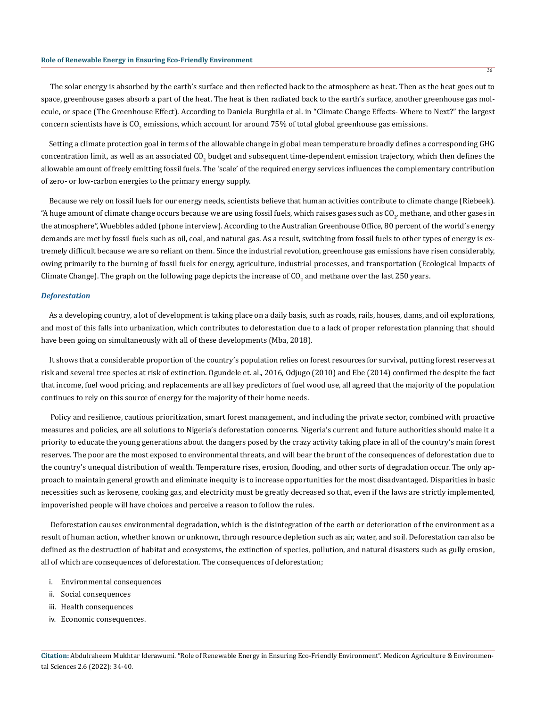The solar energy is absorbed by the earth's surface and then reflected back to the atmosphere as heat. Then as the heat goes out to space, greenhouse gases absorb a part of the heat. The heat is then radiated back to the earth's surface, another greenhouse gas molecule, or space (The Greenhouse Effect). According to Daniela Burghila et al. in "Climate Change Effects- Where to Next?" the largest concern scientists have is CO<sub>2</sub> emissions, which account for around 75% of total global greenhouse gas emissions.

 Setting a climate protection goal in terms of the allowable change in global mean temperature broadly defines a corresponding GHG concentration limit, as well as an associated CO<sub>2</sub> budget and subsequent time-dependent emission trajectory, which then defines the allowable amount of freely emitting fossil fuels. The 'scale' of the required energy services influences the complementary contribution of zero- or low-carbon energies to the primary energy supply.

 Because we rely on fossil fuels for our energy needs, scientists believe that human activities contribute to climate change (Riebeek). "A huge amount of climate change occurs because we are using fossil fuels, which raises gases such as CO<sub>2</sub>, methane, and other gases in the atmosphere", Wuebbles added (phone interview). According to the Australian Greenhouse Office, 80 percent of the world's energy demands are met by fossil fuels such as oil, coal, and natural gas. As a result, switching from fossil fuels to other types of energy is extremely difficult because we are so reliant on them. Since the industrial revolution, greenhouse gas emissions have risen considerably, owing primarily to the burning of fossil fuels for energy, agriculture, industrial processes, and transportation (Ecological Impacts of Climate Change). The graph on the following page depicts the increase of CO<sub>2</sub> and methane over the last 250 years.

## *Deforestation*

 As a developing country, a lot of development is taking place on a daily basis, such as roads, rails, houses, dams, and oil explorations, and most of this falls into urbanization, which contributes to deforestation due to a lack of proper reforestation planning that should have been going on simultaneously with all of these developments (Mba, 2018).

 It shows that a considerable proportion of the country's population relies on forest resources for survival, putting forest reserves at risk and several tree species at risk of extinction. Ogundele et. al., 2016, Odjugo (2010) and Ebe (2014) confirmed the despite the fact that income, fuel wood pricing, and replacements are all key predictors of fuel wood use, all agreed that the majority of the population continues to rely on this source of energy for the majority of their home needs.

 Policy and resilience, cautious prioritization, smart forest management, and including the private sector, combined with proactive measures and policies, are all solutions to Nigeria's deforestation concerns. Nigeria's current and future authorities should make it a priority to educate the young generations about the dangers posed by the crazy activity taking place in all of the country's main forest reserves. The poor are the most exposed to environmental threats, and will bear the brunt of the consequences of deforestation due to the country's unequal distribution of wealth. Temperature rises, erosion, flooding, and other sorts of degradation occur. The only approach to maintain general growth and eliminate inequity is to increase opportunities for the most disadvantaged. Disparities in basic necessities such as kerosene, cooking gas, and electricity must be greatly decreased so that, even if the laws are strictly implemented, impoverished people will have choices and perceive a reason to follow the rules.

 Deforestation causes environmental degradation, which is the disintegration of the earth or deterioration of the environment as a result of human action, whether known or unknown, through resource depletion such as air, water, and soil. Deforestation can also be defined as the destruction of habitat and ecosystems, the extinction of species, pollution, and natural disasters such as gully erosion, all of which are consequences of deforestation. The consequences of deforestation;

- i. Environmental consequences
- ii. Social consequences
- iii. Health consequences
- iv. Economic consequences.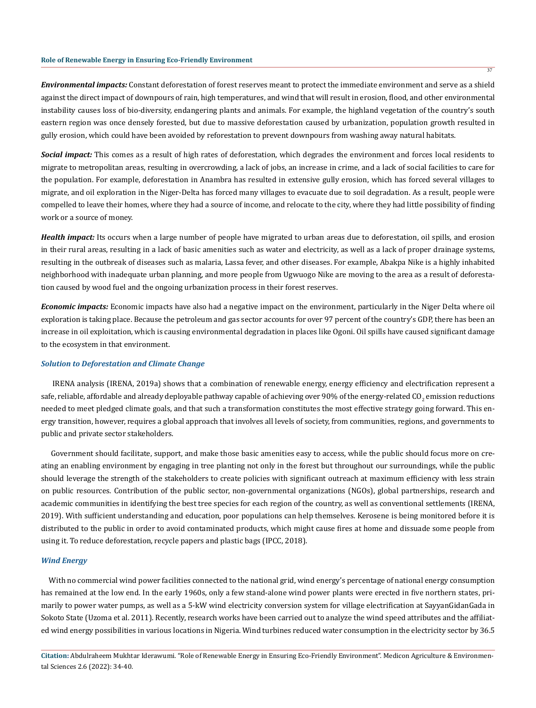### **Role of Renewable Energy in Ensuring Eco-Friendly Environment**

*Environmental impacts:* Constant deforestation of forest reserves meant to protect the immediate environment and serve as a shield against the direct impact of downpours of rain, high temperatures, and wind that will result in erosion, flood, and other environmental instability causes loss of bio-diversity, endangering plants and animals. For example, the highland vegetation of the country's south eastern region was once densely forested, but due to massive deforestation caused by urbanization, population growth resulted in gully erosion, which could have been avoided by reforestation to prevent downpours from washing away natural habitats.

*Social impact:* This comes as a result of high rates of deforestation, which degrades the environment and forces local residents to migrate to metropolitan areas, resulting in overcrowding, a lack of jobs, an increase in crime, and a lack of social facilities to care for the population. For example, deforestation in Anambra has resulted in extensive gully erosion, which has forced several villages to migrate, and oil exploration in the Niger-Delta has forced many villages to evacuate due to soil degradation. As a result, people were compelled to leave their homes, where they had a source of income, and relocate to the city, where they had little possibility of finding work or a source of money.

*Health impact:* Its occurs when a large number of people have migrated to urban areas due to deforestation, oil spills, and erosion in their rural areas, resulting in a lack of basic amenities such as water and electricity, as well as a lack of proper drainage systems, resulting in the outbreak of diseases such as malaria, Lassa fever, and other diseases. For example, Abakpa Nike is a highly inhabited neighborhood with inadequate urban planning, and more people from Ugwuogo Nike are moving to the area as a result of deforestation caused by wood fuel and the ongoing urbanization process in their forest reserves.

*Economic impacts:* Economic impacts have also had a negative impact on the environment, particularly in the Niger Delta where oil exploration is taking place. Because the petroleum and gas sector accounts for over 97 percent of the country's GDP, there has been an increase in oil exploitation, which is causing environmental degradation in places like Ogoni. Oil spills have caused significant damage to the ecosystem in that environment.

### *Solution to Deforestation and Climate Change*

 IRENA analysis (IRENA, 2019a) shows that a combination of renewable energy, energy efficiency and electrification represent a safe, reliable, affordable and already deployable pathway capable of achieving over 90% of the energy-related CO<sub>2</sub> emission reductions needed to meet pledged climate goals, and that such a transformation constitutes the most effective strategy going forward. This energy transition, however, requires a global approach that involves all levels of society, from communities, regions, and governments to public and private sector stakeholders.

 Government should facilitate, support, and make those basic amenities easy to access, while the public should focus more on creating an enabling environment by engaging in tree planting not only in the forest but throughout our surroundings, while the public should leverage the strength of the stakeholders to create policies with significant outreach at maximum efficiency with less strain on public resources. Contribution of the public sector, non-governmental organizations (NGOs), global partnerships, research and academic communities in identifying the best tree species for each region of the country, as well as conventional settlements (IRENA, 2019). With sufficient understanding and education, poor populations can help themselves. Kerosene is being monitored before it is distributed to the public in order to avoid contaminated products, which might cause fires at home and dissuade some people from using it. To reduce deforestation, recycle papers and plastic bags (IPCC, 2018).

#### *Wind Energy*

 With no commercial wind power facilities connected to the national grid, wind energy's percentage of national energy consumption has remained at the low end. In the early 1960s, only a few stand-alone wind power plants were erected in five northern states, primarily to power water pumps, as well as a 5-kW wind electricity conversion system for village electrification at SayyanGidanGada in Sokoto State (Uzoma et al. 2011). Recently, research works have been carried out to analyze the wind speed attributes and the affiliated wind energy possibilities in various locations in Nigeria. Wind turbines reduced water consumption in the electricity sector by 36.5

37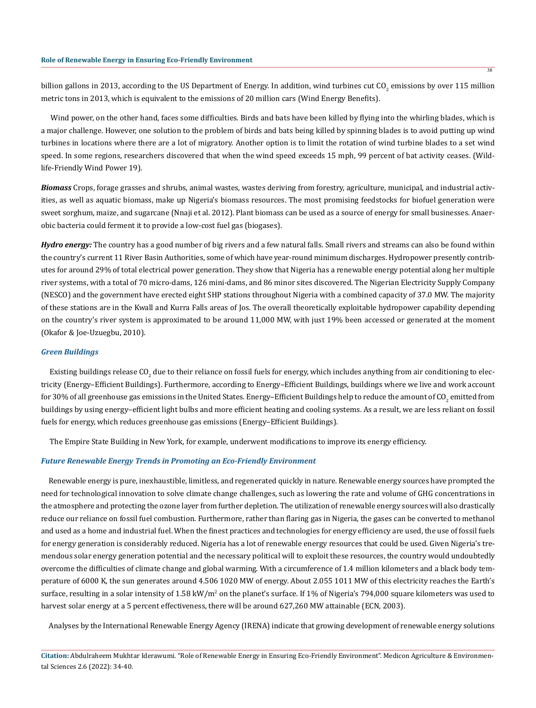billion gallons in 2013, according to the US Department of Energy. In addition, wind turbines cut CO<sub>2</sub> emissions by over 115 million metric tons in 2013, which is equivalent to the emissions of 20 million cars (Wind Energy Benefits).

 Wind power, on the other hand, faces some difficulties. Birds and bats have been killed by flying into the whirling blades, which is a major challenge. However, one solution to the problem of birds and bats being killed by spinning blades is to avoid putting up wind turbines in locations where there are a lot of migratory. Another option is to limit the rotation of wind turbine blades to a set wind speed. In some regions, researchers discovered that when the wind speed exceeds 15 mph, 99 percent of bat activity ceases. (Wildlife-Friendly Wind Power 19).

*Biomass* Crops, forage grasses and shrubs, animal wastes, wastes deriving from forestry, agriculture, municipal, and industrial activities, as well as aquatic biomass, make up Nigeria's biomass resources. The most promising feedstocks for biofuel generation were sweet sorghum, maize, and sugarcane (Nnaji et al. 2012). Plant biomass can be used as a source of energy for small businesses. Anaerobic bacteria could ferment it to provide a low-cost fuel gas (biogases).

*Hydro energy:* The country has a good number of big rivers and a few natural falls. Small rivers and streams can also be found within the country's current 11 River Basin Authorities, some of which have year-round minimum discharges. Hydropower presently contributes for around 29% of total electrical power generation. They show that Nigeria has a renewable energy potential along her multiple river systems, with a total of 70 micro-dams, 126 mini-dams, and 86 minor sites discovered. The Nigerian Electricity Supply Company (NESCO) and the government have erected eight SHP stations throughout Nigeria with a combined capacity of 37.0 MW. The majority of these stations are in the Kwall and Kurra Falls areas of Jos. The overall theoretically exploitable hydropower capability depending on the country's river system is approximated to be around 11,000 MW, with just 19% been accessed or generated at the moment (Okafor & Joe-Uzuegbu, 2010).

#### *Green Buildings*

Existing buildings release CO<sub>2</sub> due to their reliance on fossil fuels for energy, which includes anything from air conditioning to electricity (Energy–Efficient Buildings). Furthermore, according to Energy–Efficient Buildings, buildings where we live and work account for 30% of all greenhouse gas emissions in the United States. Energy–Efficient Buildings help to reduce the amount of CO<sub>2</sub> emitted from buildings by using energy–efficient light bulbs and more efficient heating and cooling systems. As a result, we are less reliant on fossil fuels for energy, which reduces greenhouse gas emissions (Energy–Efficient Buildings).

The Empire State Building in New York, for example, underwent modifications to improve its energy efficiency.

#### *Future Renewable Energy Trends in Promoting an Eco-Friendly Environment*

 Renewable energy is pure, inexhaustible, limitless, and regenerated quickly in nature. Renewable energy sources have prompted the need for technological innovation to solve climate change challenges, such as lowering the rate and volume of GHG concentrations in the atmosphere and protecting the ozone layer from further depletion. The utilization of renewable energy sources will also drastically reduce our reliance on fossil fuel combustion. Furthermore, rather than flaring gas in Nigeria, the gases can be converted to methanol and used as a home and industrial fuel. When the finest practices and technologies for energy efficiency are used, the use of fossil fuels for energy generation is considerably reduced. Nigeria has a lot of renewable energy resources that could be used. Given Nigeria's tremendous solar energy generation potential and the necessary political will to exploit these resources, the country would undoubtedly overcome the difficulties of climate change and global warming. With a circumference of 1.4 million kilometers and a black body temperature of 6000 K, the sun generates around 4.506 1020 MW of energy. About 2.055 1011 MW of this electricity reaches the Earth's surface, resulting in a solar intensity of  $1.58$  kW/m<sup>2</sup> on the planet's surface. If  $1\%$  of Nigeria's 794,000 square kilometers was used to harvest solar energy at a 5 percent effectiveness, there will be around 627,260 MW attainable (ECN, 2003).

Analyses by the International Renewable Energy Agency (IRENA) indicate that growing development of renewable energy solutions

38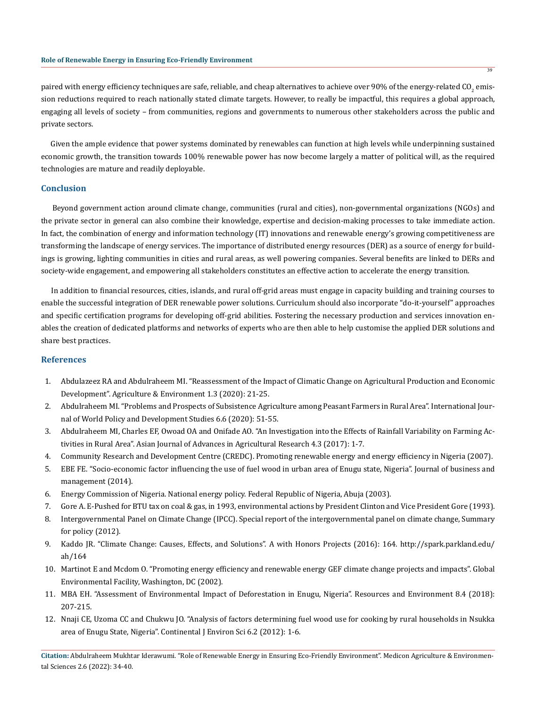paired with energy efficiency techniques are safe, reliable, and cheap alternatives to achieve over 90% of the energy-related CO $_2$  emission reductions required to reach nationally stated climate targets. However, to really be impactful, this requires a global approach, engaging all levels of society – from communities, regions and governments to numerous other stakeholders across the public and private sectors.

 Given the ample evidence that power systems dominated by renewables can function at high levels while underpinning sustained economic growth, the transition towards 100% renewable power has now become largely a matter of political will, as the required technologies are mature and readily deployable.

### **Conclusion**

 Beyond government action around climate change, communities (rural and cities), non-governmental organizations (NGOs) and the private sector in general can also combine their knowledge, expertise and decision-making processes to take immediate action. In fact, the combination of energy and information technology (IT) innovations and renewable energy's growing competitiveness are transforming the landscape of energy services. The importance of distributed energy resources (DER) as a source of energy for buildings is growing, lighting communities in cities and rural areas, as well powering companies. Several benefits are linked to DERs and society-wide engagement, and empowering all stakeholders constitutes an effective action to accelerate the energy transition.

 In addition to financial resources, cities, islands, and rural off-grid areas must engage in capacity building and training courses to enable the successful integration of DER renewable power solutions. Curriculum should also incorporate "do-it-yourself" approaches and specific certification programs for developing off-grid abilities. Fostering the necessary production and services innovation enables the creation of dedicated platforms and networks of experts who are then able to help customise the applied DER solutions and share best practices.

## **References**

- 1. Abdulazeez RA and Abdulraheem MI. "Reassessment of the Impact of Climatic Change on Agricultural Production and Economic Development". Agriculture & Environment 1.3 (2020): 21-25.
- 2. Abdulraheem MI. "Problems and Prospects of Subsistence Agriculture among Peasant Farmers in Rural Area". International Journal of World Policy and Development Studies 6.6 (2020): 51-55.
- 3. Abdulraheem MI, Charles EF, Owoad OA and Onifade AO. "An Investigation into the Effects of Rainfall Variability on Farming Activities in Rural Area". Asian Journal of Advances in Agricultural Research 4.3 (2017): 1-7.
- 4. Community Research and Development Centre (CREDC). Promoting renewable energy and energy efficiency in Nigeria (2007).
- 5. EBE FE. "Socio-economic factor influencing the use of fuel wood in urban area of Enugu state, Nigeria". Journal of business and management (2014).
- 6. Energy Commission of Nigeria. National energy policy. Federal Republic of Nigeria, Abuja (2003).
- 7. Gore A. E-Pushed for BTU tax on coal & gas, in 1993, environmental actions by President Clinton and Vice President Gore (1993).
- 8. Intergovernmental Panel on Climate Change (IPCC). Special report of the intergovernmental panel on climate change, Summary for policy (2012).
- 9. Kaddo JR. "Climate Change: Causes, Effects, and Solutions". A with Honors Projects (2016): 164. http://spark.parkland.edu/ ah/164
- 10. Martinot E and Mcdom O. "Promoting energy efficiency and renewable energy GEF climate change projects and impacts". Global Environmental Facility, Washington, DC (2002).
- 11. MBA EH. "Assessment of Environmental Impact of Deforestation in Enugu, Nigeria". Resources and Environment 8.4 (2018): 207-215.
- 12. Nnaji CE, Uzoma CC and Chukwu JO. "Analysis of factors determining fuel wood use for cooking by rural households in Nsukka area of Enugu State, Nigeria". Continental J Environ Sci 6.2 (2012): 1-6.